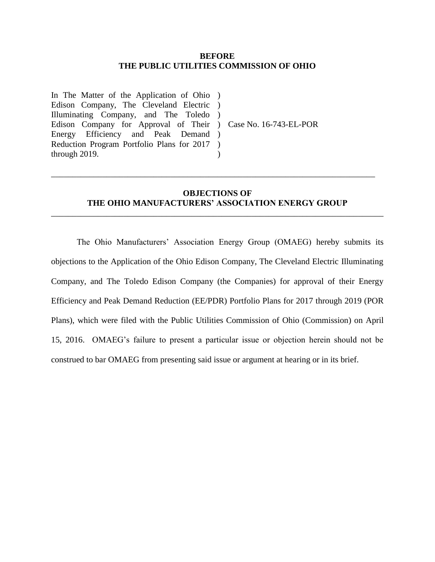#### **BEFORE THE PUBLIC UTILITIES COMMISSION OF OHIO**

In The Matter of the Application of Ohio ) Edison Company, The Cleveland Electric ) Illuminating Company, and The Toledo ) Edison Company for Approval of Their ) Case No. 16-743-EL-POR Energy Efficiency and Peak Demand ) Reduction Program Portfolio Plans for 2017 ) through 2019.  $\lambda$ 

# **OBJECTIONS OF THE OHIO MANUFACTURERS' ASSOCIATION ENERGY GROUP**

\_\_\_\_\_\_\_\_\_\_\_\_\_\_\_\_\_\_\_\_\_\_\_\_\_\_\_\_\_\_\_\_\_\_\_\_\_\_\_\_\_\_\_\_\_\_\_\_\_\_\_\_\_\_\_\_\_\_\_\_\_\_\_\_\_\_\_\_\_\_\_\_\_\_\_\_\_\_

\_\_\_\_\_\_\_\_\_\_\_\_\_\_\_\_\_\_\_\_\_\_\_\_\_\_\_\_\_\_\_\_\_\_\_\_\_\_\_\_\_\_\_\_\_\_\_\_\_\_\_\_\_\_\_\_\_\_\_\_\_\_\_\_\_\_\_\_\_\_\_\_\_\_\_\_

The Ohio Manufacturers' Association Energy Group (OMAEG) hereby submits its objections to the Application of the Ohio Edison Company, The Cleveland Electric Illuminating Company, and The Toledo Edison Company (the Companies) for approval of their Energy Efficiency and Peak Demand Reduction (EE/PDR) Portfolio Plans for 2017 through 2019 (POR Plans), which were filed with the Public Utilities Commission of Ohio (Commission) on April 15, 2016. OMAEG's failure to present a particular issue or objection herein should not be construed to bar OMAEG from presenting said issue or argument at hearing or in its brief.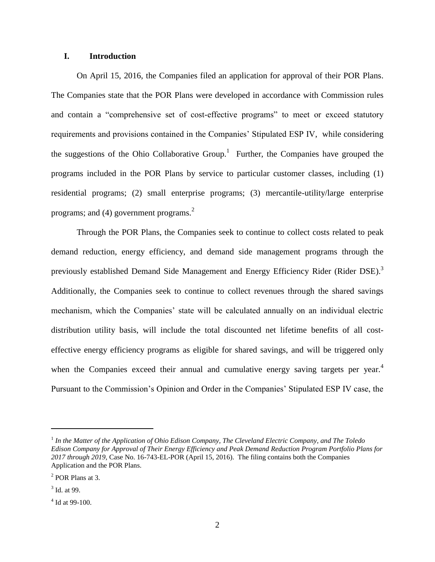# **I. Introduction**

On April 15, 2016, the Companies filed an application for approval of their POR Plans. The Companies state that the POR Plans were developed in accordance with Commission rules and contain a "comprehensive set of cost-effective programs" to meet or exceed statutory requirements and provisions contained in the Companies' Stipulated ESP IV, while considering the suggestions of the Ohio Collaborative Group.<sup>1</sup> Further, the Companies have grouped the programs included in the POR Plans by service to particular customer classes, including (1) residential programs; (2) small enterprise programs; (3) mercantile-utility/large enterprise programs; and (4) government programs.<sup>2</sup>

Through the POR Plans, the Companies seek to continue to collect costs related to peak demand reduction, energy efficiency, and demand side management programs through the previously established Demand Side Management and Energy Efficiency Rider (Rider DSE).<sup>3</sup> Additionally, the Companies seek to continue to collect revenues through the shared savings mechanism, which the Companies' state will be calculated annually on an individual electric distribution utility basis, will include the total discounted net lifetime benefits of all costeffective energy efficiency programs as eligible for shared savings, and will be triggered only when the Companies exceed their annual and cumulative energy saving targets per year. $4$ Pursuant to the Commission's Opinion and Order in the Companies' Stipulated ESP IV case, the

<sup>&</sup>lt;sup>1</sup> In the Matter of the Application of Ohio Edison Company, The Cleveland Electric Company, and The Toledo *Edison Company for Approval of Their Energy Efficiency and Peak Demand Reduction Program Portfolio Plans for 2017 through 2019,* Case No. 16-743-EL-POR (April 15, 2016). The filing contains both the Companies Application and the POR Plans.

<sup>2</sup> POR Plans at 3.

 $3$  Id. at 99.

 $4$  Id at 99-100.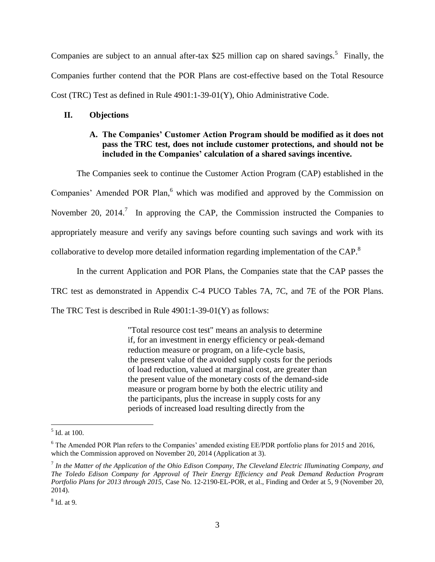Companies are subject to an annual after-tax \$25 million cap on shared savings.<sup>5</sup> Finally, the Companies further contend that the POR Plans are cost-effective based on the Total Resource Cost (TRC) Test as defined in Rule 4901:1-39-01(Y), Ohio Administrative Code.

## **II. Objections**

# **A. The Companies' Customer Action Program should be modified as it does not pass the TRC test, does not include customer protections, and should not be included in the Companies' calculation of a shared savings incentive.**

The Companies seek to continue the Customer Action Program (CAP) established in the Companies' Amended POR Plan,<sup>6</sup> which was modified and approved by the Commission on November 20, 2014.<sup>7</sup> In approving the CAP, the Commission instructed the Companies to appropriately measure and verify any savings before counting such savings and work with its collaborative to develop more detailed information regarding implementation of the CAP.<sup>8</sup>

In the current Application and POR Plans, the Companies state that the CAP passes the

TRC test as demonstrated in Appendix C-4 PUCO Tables 7A, 7C, and 7E of the POR Plans.

The TRC Test is described in Rule 4901:1-39-01(Y) as follows:

"Total resource cost test" means an analysis to determine if, for an investment in energy efficiency or peak-demand reduction measure or program, on a life-cycle basis, the present value of the avoided supply costs for the periods of load reduction, valued at marginal cost, are greater than the present value of the monetary costs of the demand-side measure or program borne by both the electric utility and the participants, plus the increase in supply costs for any periods of increased load resulting directly from the

 $\frac{5}{5}$  Id. at 100.

<sup>&</sup>lt;sup>6</sup> The Amended POR Plan refers to the Companies' amended existing EE/PDR portfolio plans for 2015 and 2016, which the Commission approved on November 20, 2014 (Application at 3).

<sup>7</sup> *In the Matter of the Application of the Ohio Edison Company, The Cleveland Electric Illuminating Company, and The Toledo Edison Company for Approval of Their Energy Efficiency and Peak Demand Reduction Program Portfolio Plans for 2013 through 2015,* Case No. 12-2190-EL-POR, et al., Finding and Order at 5, 9 (November 20, 2014).

<sup>8</sup> Id. at 9.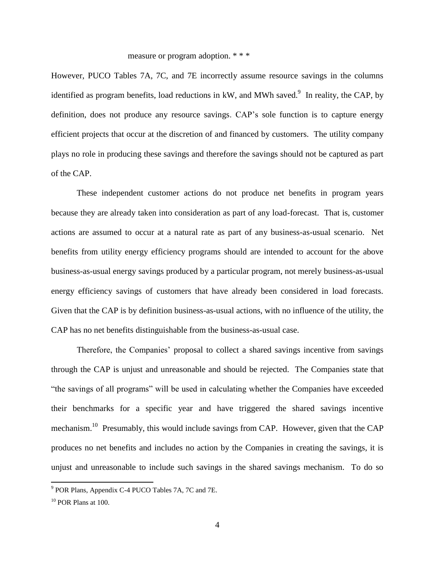### measure or program adoption. \* \* \*

However, PUCO Tables 7A, 7C, and 7E incorrectly assume resource savings in the columns identified as program benefits, load reductions in kW, and MWh saved.<sup>9</sup> In reality, the CAP, by definition, does not produce any resource savings. CAP's sole function is to capture energy efficient projects that occur at the discretion of and financed by customers. The utility company plays no role in producing these savings and therefore the savings should not be captured as part of the CAP.

These independent customer actions do not produce net benefits in program years because they are already taken into consideration as part of any load-forecast. That is, customer actions are assumed to occur at a natural rate as part of any business-as-usual scenario. Net benefits from utility energy efficiency programs should are intended to account for the above business-as-usual energy savings produced by a particular program, not merely business-as-usual energy efficiency savings of customers that have already been considered in load forecasts. Given that the CAP is by definition business-as-usual actions, with no influence of the utility, the CAP has no net benefits distinguishable from the business-as-usual case.

Therefore, the Companies' proposal to collect a shared savings incentive from savings through the CAP is unjust and unreasonable and should be rejected. The Companies state that "the savings of all programs" will be used in calculating whether the Companies have exceeded their benchmarks for a specific year and have triggered the shared savings incentive mechanism.<sup>10</sup> Presumably, this would include savings from CAP. However, given that the CAP produces no net benefits and includes no action by the Companies in creating the savings, it is unjust and unreasonable to include such savings in the shared savings mechanism. To do so

<sup>&</sup>lt;sup>9</sup> POR Plans, Appendix C-4 PUCO Tables 7A, 7C and 7E.

 $10$  POR Plans at 100.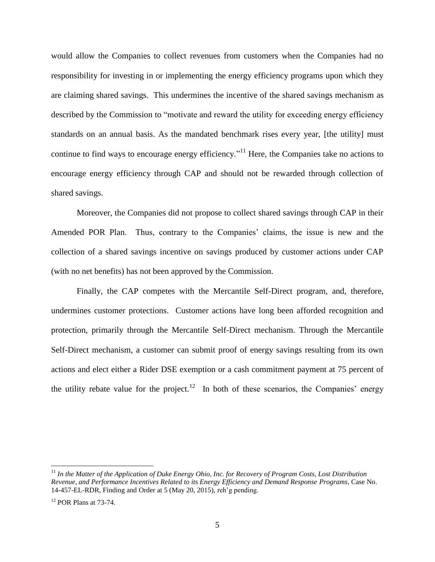would allow the Companies to collect revenues from customers when the Companies had no responsibility for investing in or implementing the energy efficiency programs upon which they are claiming shared savings. This undermines the incentive of the shared savings mechanism as described by the Commission to "motivate and reward the utility for exceeding energy efficiency standards on an annual basis. As the mandated benchmark rises every year, [the utility] must continue to find ways to encourage energy efficiency."<sup>11</sup> Here, the Companies take no actions to encourage energy efficiency through CAP and should not be rewarded through collection of shared savings.

Moreover, the Companies did not propose to collect shared savings through CAP in their Amended POR Plan. Thus, contrary to the Companies' claims, the issue is new and the collection of a shared savings incentive on savings produced by customer actions under CAP (with no net benefits) has not been approved by the Commission.

Finally, the CAP competes with the Mercantile Self-Direct program, and, therefore, undermines customer protections. Customer actions have long been afforded recognition and protection, primarily through the Mercantile Self-Direct mechanism. Through the Mercantile Self-Direct mechanism, a customer can submit proof of energy savings resulting from its own actions and elect either a Rider DSE exemption or a cash commitment payment at 75 percent of the utility rebate value for the project.<sup>12</sup> In both of these scenarios, the Companies' energy

<sup>&</sup>lt;sup>11</sup> In the Matter of the Application of Duke Energy Ohio, Inc. for Recovery of Program Costs, Lost Distribution *Revenue, and Performance Incentives Related to its Energy Efficiency and Demand Response Programs*, Case No. 14-457-EL-RDR, Finding and Order at 5 (May 20, 2015), reh'g pending.

 $12$  POR Plans at 73-74.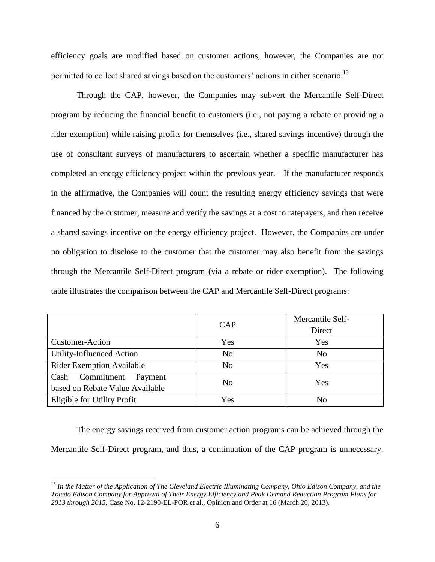efficiency goals are modified based on customer actions, however, the Companies are not permitted to collect shared savings based on the customers' actions in either scenario.<sup>13</sup>

Through the CAP, however, the Companies may subvert the Mercantile Self-Direct program by reducing the financial benefit to customers (i.e., not paying a rebate or providing a rider exemption) while raising profits for themselves (i.e., shared savings incentive) through the use of consultant surveys of manufacturers to ascertain whether a specific manufacturer has completed an energy efficiency project within the previous year. If the manufacturer responds in the affirmative, the Companies will count the resulting energy efficiency savings that were financed by the customer, measure and verify the savings at a cost to ratepayers, and then receive a shared savings incentive on the energy efficiency project. However, the Companies are under no obligation to disclose to the customer that the customer may also benefit from the savings through the Mercantile Self-Direct program (via a rebate or rider exemption). The following table illustrates the comparison between the CAP and Mercantile Self-Direct programs:

|                                                                  | <b>CAP</b>     | Mercantile Self-<br>Direct |
|------------------------------------------------------------------|----------------|----------------------------|
| <b>Customer-Action</b>                                           | Yes            | Yes                        |
| Utility-Influenced Action                                        | N <sub>o</sub> | N <sub>o</sub>             |
| <b>Rider Exemption Available</b>                                 | N <sub>o</sub> | Yes                        |
| Commitment<br>Cash<br>Payment<br>based on Rebate Value Available | N <sub>0</sub> | Yes                        |
| Eligible for Utility Profit                                      | Yes            | N <sub>0</sub>             |

The energy savings received from customer action programs can be achieved through the Mercantile Self-Direct program, and thus, a continuation of the CAP program is unnecessary.

<sup>13</sup> *In the Matter of the Application of The Cleveland Electric Illuminating Company, Ohio Edison Company, and the Toledo Edison Company for Approval of Their Energy Efficiency and Peak Demand Reduction Program Plans for 2013 through 2015,* Case No. 12-2190-EL-POR et al., Opinion and Order at 16 (March 20, 2013).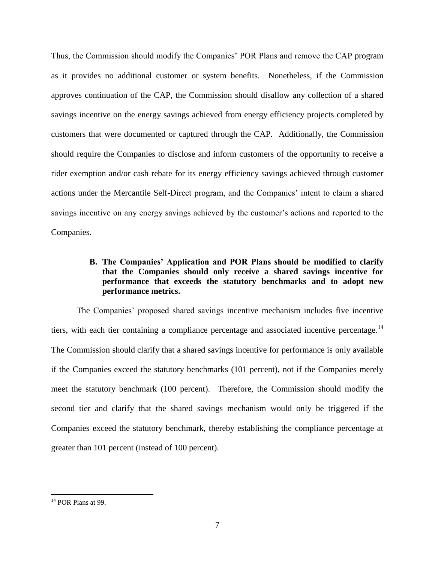Thus, the Commission should modify the Companies' POR Plans and remove the CAP program as it provides no additional customer or system benefits. Nonetheless, if the Commission approves continuation of the CAP, the Commission should disallow any collection of a shared savings incentive on the energy savings achieved from energy efficiency projects completed by customers that were documented or captured through the CAP. Additionally, the Commission should require the Companies to disclose and inform customers of the opportunity to receive a rider exemption and/or cash rebate for its energy efficiency savings achieved through customer actions under the Mercantile Self-Direct program, and the Companies' intent to claim a shared savings incentive on any energy savings achieved by the customer's actions and reported to the Companies.

# **B. The Companies' Application and POR Plans should be modified to clarify that the Companies should only receive a shared savings incentive for performance that exceeds the statutory benchmarks and to adopt new performance metrics.**

The Companies' proposed shared savings incentive mechanism includes five incentive tiers, with each tier containing a compliance percentage and associated incentive percentage.<sup>14</sup> The Commission should clarify that a shared savings incentive for performance is only available if the Companies exceed the statutory benchmarks (101 percent), not if the Companies merely meet the statutory benchmark (100 percent). Therefore, the Commission should modify the second tier and clarify that the shared savings mechanism would only be triggered if the Companies exceed the statutory benchmark, thereby establishing the compliance percentage at greater than 101 percent (instead of 100 percent).

 $14$  POR Plans at 99.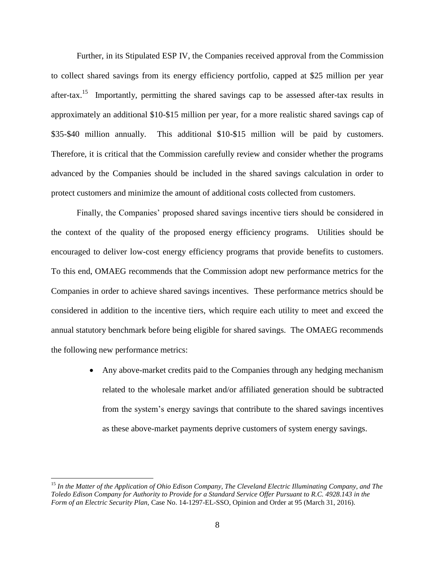Further, in its Stipulated ESP IV, the Companies received approval from the Commission to collect shared savings from its energy efficiency portfolio, capped at \$25 million per year after-tax.<sup>15</sup> Importantly, permitting the shared savings cap to be assessed after-tax results in approximately an additional \$10-\$15 million per year, for a more realistic shared savings cap of \$35-\$40 million annually. This additional \$10-\$15 million will be paid by customers. Therefore, it is critical that the Commission carefully review and consider whether the programs advanced by the Companies should be included in the shared savings calculation in order to protect customers and minimize the amount of additional costs collected from customers.

Finally, the Companies' proposed shared savings incentive tiers should be considered in the context of the quality of the proposed energy efficiency programs. Utilities should be encouraged to deliver low-cost energy efficiency programs that provide benefits to customers. To this end, OMAEG recommends that the Commission adopt new performance metrics for the Companies in order to achieve shared savings incentives. These performance metrics should be considered in addition to the incentive tiers, which require each utility to meet and exceed the annual statutory benchmark before being eligible for shared savings. The OMAEG recommends the following new performance metrics:

> Any above-market credits paid to the Companies through any hedging mechanism related to the wholesale market and/or affiliated generation should be subtracted from the system's energy savings that contribute to the shared savings incentives as these above-market payments deprive customers of system energy savings.

<sup>15</sup> *In the Matter of the Application of Ohio Edison Company, The Cleveland Electric Illuminating Company, and The Toledo Edison Company for Authority to Provide for a Standard Service Offer Pursuant to R.C. 4928.143 in the Form of an Electric Security Plan,* Case No. 14-1297-EL-SSO, Opinion and Order at 95 (March 31, 2016).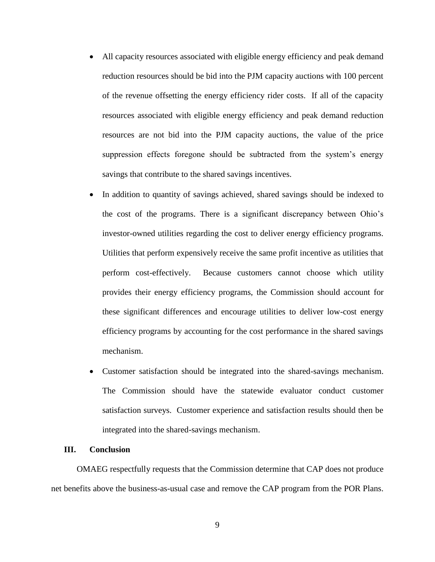- All capacity resources associated with eligible energy efficiency and peak demand reduction resources should be bid into the PJM capacity auctions with 100 percent of the revenue offsetting the energy efficiency rider costs. If all of the capacity resources associated with eligible energy efficiency and peak demand reduction resources are not bid into the PJM capacity auctions, the value of the price suppression effects foregone should be subtracted from the system's energy savings that contribute to the shared savings incentives.
- In addition to quantity of savings achieved, shared savings should be indexed to the cost of the programs. There is a significant discrepancy between Ohio's investor-owned utilities regarding the cost to deliver energy efficiency programs. Utilities that perform expensively receive the same profit incentive as utilities that perform cost-effectively. Because customers cannot choose which utility provides their energy efficiency programs, the Commission should account for these significant differences and encourage utilities to deliver low-cost energy efficiency programs by accounting for the cost performance in the shared savings mechanism.
- Customer satisfaction should be integrated into the shared-savings mechanism. The Commission should have the statewide evaluator conduct customer satisfaction surveys. Customer experience and satisfaction results should then be integrated into the shared-savings mechanism.

## **III. Conclusion**

OMAEG respectfully requests that the Commission determine that CAP does not produce net benefits above the business-as-usual case and remove the CAP program from the POR Plans.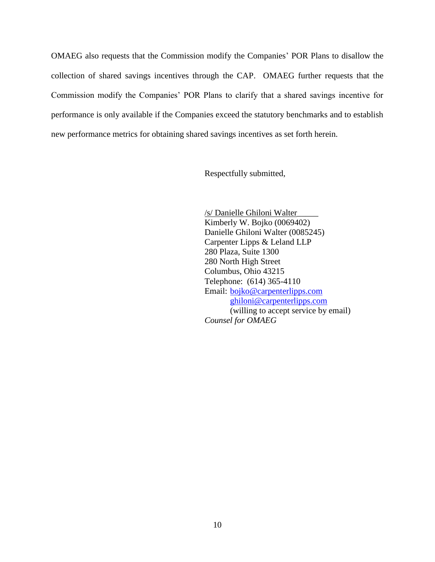OMAEG also requests that the Commission modify the Companies' POR Plans to disallow the collection of shared savings incentives through the CAP. OMAEG further requests that the Commission modify the Companies' POR Plans to clarify that a shared savings incentive for performance is only available if the Companies exceed the statutory benchmarks and to establish new performance metrics for obtaining shared savings incentives as set forth herein.

Respectfully submitted,

/s/ Danielle Ghiloni Walter\_\_\_\_\_ Kimberly W. Bojko (0069402) Danielle Ghiloni Walter (0085245) Carpenter Lipps & Leland LLP 280 Plaza, Suite 1300 280 North High Street Columbus, Ohio 43215 Telephone: (614) 365-4110 Email: [bojko@carpenterlipps.com](mailto:bojko@carpenterlipps.com) [ghiloni@carpenterlipps.com](mailto:ghiloni@carpenterlipps.com) (willing to accept service by email) *Counsel for OMAEG*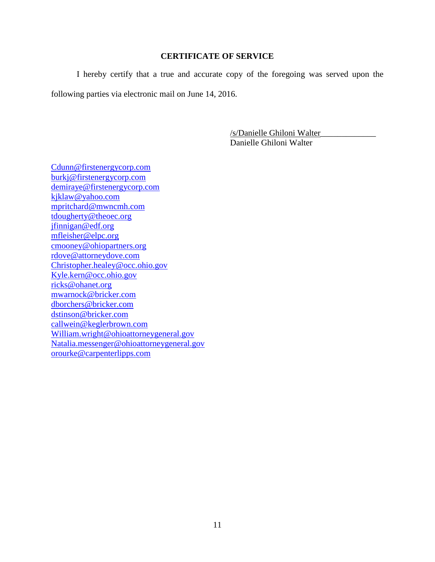### **CERTIFICATE OF SERVICE**

I hereby certify that a true and accurate copy of the foregoing was served upon the following parties via electronic mail on June 14, 2016.

> /s/Danielle Ghiloni Walter\_\_\_\_\_\_\_\_\_\_\_\_\_ Danielle Ghiloni Walter

[Cdunn@firstenergycorp.com](mailto:Cdunn@firstenergycorp.com) [burkj@firstenergycorp.com](mailto:burkj@firstenergycorp.com) [demiraye@firstenergycorp.com](mailto:demiraye@firstenergycorp.com) [kjklaw@yahoo.com](mailto:kjklaw@yahoo.com) [mpritchard@mwncmh.com](mailto:mpritchard@mwncmh.com) [tdougherty@theoec.org](mailto:tdougherty@theoec.org) [jfinnigan@edf.org](mailto:jfinnigan@edf.org) [mfleisher@elpc.org](mailto:mfleisher@elpc.org) [cmooney@ohiopartners.org](mailto:cmooney@ohiopartners.org) [rdove@attorneydove.com](mailto:rdove@attorneydove.com) [Christopher.healey@occ.ohio.gov](mailto:Christopher.healey@occ.ohio.gov) [Kyle.kern@occ.ohio.gov](mailto:Kyle.kern@occ.ohio.gov) [ricks@ohanet.org](mailto:ricks@ohanet.org) [mwarnock@bricker.com](mailto:mwarnock@bricker.com) [dborchers@bricker.com](mailto:dborchers@bricker.com) [dstinson@bricker.com](mailto:dstinson@bricker.com) [callwein@keglerbrown.com](mailto:callwein@keglerbrown.com) [William.wright@ohioattorneygeneral.gov](mailto:William.wright@ohioattorneygeneral.gov) [Natalia.messenger@ohioattorneygeneral.gov](mailto:Natalia.messenger@ohioattorneygeneral.gov) [orourke@carpenterlipps.com](mailto:orourke@carpenterlipps.com)